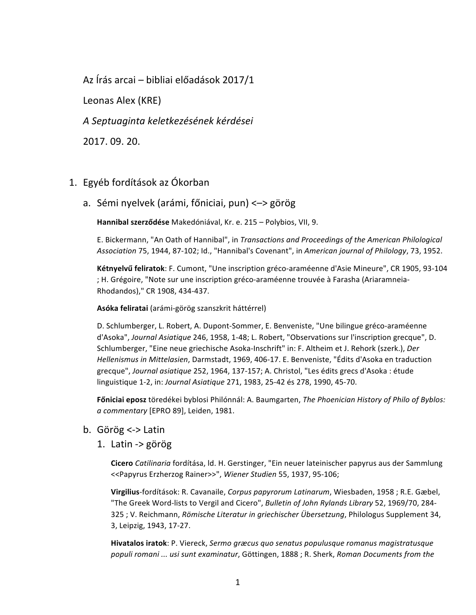Az Írás arcai – bibliai előadások 2017/1

Leonas Alex (KRE)

*A Septuaginta keletkezésének kérdései*

2017. 09. 20.

## 1. Egyéb fordítások az Ókorban

a. Sémi nyelvek (arámi, főniciai, pun) <-> görög

Hannibal szerződése Makedóniával, Kr. e. 215 – Polybios, VII, 9.

E. Bickermann, "An Oath of Hannibal", in *Transactions and Proceedings of the American Philological* Association 75, 1944, 87-102; Id., "Hannibal's Covenant", in American journal of Philology, 73, 1952.

Kétnyelvű feliratok: F. Cumont, "Une inscription gréco-araméenne d'Asie Mineure", CR 1905, 93-104 ; H. Grégoire, "Note sur une inscription gréco-araméenne trouvée à Farasha (Ariaramneia-Rhodandos)," CR 1908, 434-437.

**Asóka feliratai** (arámi-görög szanszkrit háttérrel)

D. Schlumberger, L. Robert, A. Dupont-Sommer, E. Benveniste, "Une bilingue gréco-araméenne d'Asoka", *Journal Asiatique* 246, 1958, 1-48; L. Robert, "Observations sur l'inscription grecque", D. Schlumberger, "Eine neue griechische Asoka-Inschrift" in: F. Altheim et J. Rehork (szerk.), *Der* Hellenismus in Mittelasien, Darmstadt, 1969, 406-17. E. Benveniste, "Édits d'Asoka en traduction grecque", Journal asiatique 252, 1964, 137-157; A. Christol, "Les édits grecs d'Asoka : étude linguistique 1-2, in: *Journal Asiatique* 271, 1983, 25-42 és 278, 1990, 45-70.

**Főniciai eposz** töredékei byblosi Philónnál: A. Baumgarten, *The Phoenician History of Philo of Byblos: a commentary* [EPRO 89], Leiden, 1981.

- b. Görög <-> Latin
	- 1. Latin -> görög

**Cicero** *Catilinaria* fordítása, ld. H. Gerstinger, "Ein neuer lateinischer papyrus aus der Sammlung <<Papyrus Erzherzog Rainer>>", *Wiener Studien* 55, 1937, 95-106;

Virgilius-fordítások: R. Cavanaile, *Corpus papyrorum Latinarum*, Wiesbaden, 1958 ; R.E. Gæbel, "The Greek Word-lists to Vergil and Cicero", *Bulletin of John Rylands Library* 52, 1969/70, 284-325 ; V. Reichmann, *Römische Literatur in griechischer Übersetzung*, Philologus Supplement 34, 3, Leipzig, 1943, 17-27.

**Hivatalos iratok**: P. Viereck, Sermo græcus quo senatus populusque romanus magistratusque populi romani ... usi sunt examinatur, Göttingen, 1888 ; R. Sherk, Roman Documents from the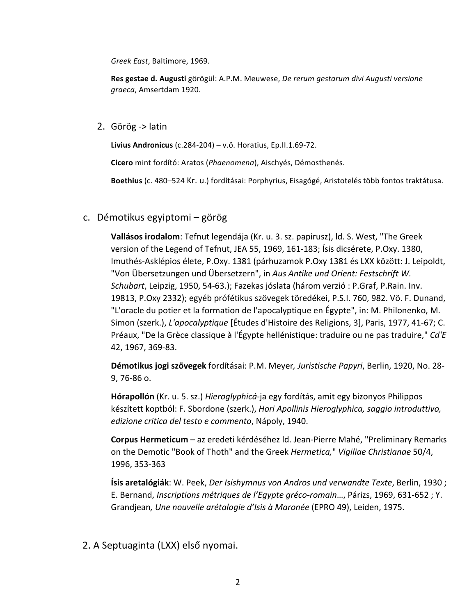*Greek East*, Baltimore, 1969.

Res gestae d. Augusti görögül: A.P.M. Meuwese, *De rerum gestarum divi Augusti versione graeca*, Amsertdam 1920.

2. Görög -> latin

**Livius Andronicus** (c.284-204) – v.ö. Horatius, Ep.II.1.69-72.

**Cicero** mint fordító: Aratos (Phaenomena), Aischyés, Démosthenés.

Boethius (c. 480-524 Kr. u.) fordításai: Porphyrius, Eisagógé, Aristotelés több fontos traktátusa.

c. Démotikus egyiptomi – görög

**Vallásos irodalom**: Tefnut legendája (Kr. u. 3. sz. papirusz), ld. S. West, "The Greek version of the Legend of Tefnut, JEA 55, 1969, 161-183; Isis dicsérete, P.Oxy. 1380, Imuthés-Asklépios élete, P.Oxy. 1381 (párhuzamok P.Oxy 1381 és LXX között: J. Leipoldt, "Von Übersetzungen und Übersetzern", in Aus Antike und Orient: Festschrift W. *Schubart*, Leipzig, 1950, 54-63.); Fazekas jóslata (három verzió : P.Graf, P.Rain. Inv. 19813, P.Oxy 2332); egyéb prófétikus szövegek töredékei, P.S.I. 760, 982. Vö. F. Dunand, "L'oracle du potier et la formation de l'apocalyptique en Égypte", in: M. Philonenko, M. Simon (szerk.), *L'apocalyptique* [Études d'Histoire des Religions, 3], Paris, 1977, 41-67; C. Préaux, "De la Grèce classique à l'Égypte hellénistique: traduire ou ne pas traduire," Cd'E 42, 1967, 369-83.

Démotikus jogi szövegek fordításai: P.M. Meyer, Juristische Papyri, Berlin, 1920, No. 28-9, 76-86 o.

Hórapollón (Kr. u. 5. sz.) *Hieroglyphicá-ja egy fordítás, amit egy bizonyos Philippos* készített koptból: F. Sbordone (szerk.), *Hori Apollinis Hieroglyphica, saggio introduttivo, edizione critica del testo e commento*, Nápoly, 1940.

Corpus Hermeticum - az eredeti kérdéséhez ld. Jean-Pierre Mahé, "Preliminary Remarks on the Demotic "Book of Thoth" and the Greek *Hermetica,*" *Vigiliae Christianae* 50/4, 1996, 353-363

**Ísis aretalógiák**: W. Peek, *Der Isishymnus von Andros und verwandte Texte*, Berlin, 1930 ; E. Bernand, *Inscriptions métriques de l'Egypte gréco-romain...*, Párizs, 1969, 631-652 ; Y. Grandjean, Une nouvelle arétalogie d'Isis à Maronée (EPRO 49), Leiden, 1975.

2. A Septuaginta (LXX) első nyomai.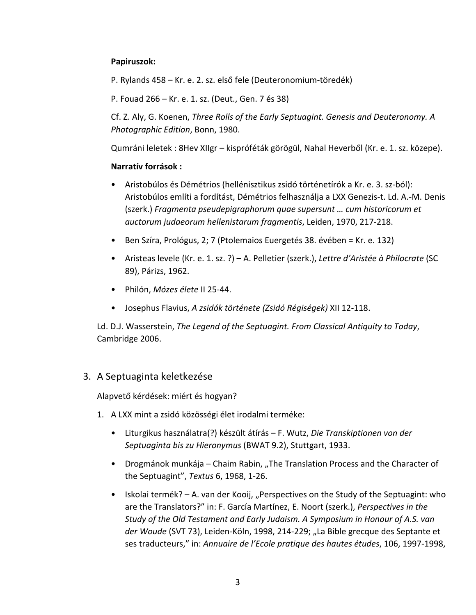## **Papiruszok:**

P. Rylands 458 – Kr. e. 2. sz. első fele (Deuteronomium-töredék)

P. Fouad 266 – Kr. e. 1. sz. (Deut., Gen. 7 és 38)

Cf. Z. Aly, G. Koenen, *Three Rolls of the Early Septuagint. Genesis and Deuteronomy. A Photographic Edition*, Bonn, 1980.

Qumráni leletek : 8Hev XIIgr – kispróféták görögül, Nahal Heverből (Kr. e. 1. sz. közepe).

## **Narratív források :**

- Aristobúlos és Démétrios (hellénisztikus zsidó történetírók a Kr. e. 3. sz-ból): Aristobúlos említi a fordítást, Démétrios felhasznália a LXX Genezis-t. Ld. A.-M. Denis (szerk.) Fragmenta pseudepigraphorum quae supersunt ... cum historicorum et *auctorum judaeorum hellenistarum fragmentis*, Leiden, 1970, 217-218.
- Ben Szíra, Prológus, 2; 7 (Ptolemaios Euergetés 38. évében = Kr. e. 132)
- Aristeas levele (Kr. e. 1. sz. ?) A. Pelletier (szerk.), *Lettre d'Aristée à Philocrate* (SC 89), Párizs, 1962.
- Philón, *Mózes élete* II 25-44.
- Josephus Flavius, *A zsidók története (Zsidó Régiségek)* XII 12-118.

Ld. D.J. Wasserstein, *The Legend of the Septuagint. From Classical Antiquity to Today*, Cambridge 2006.

## 3. A Septuaginta keletkezése

Alapvető kérdések: miért és hogyan?

- 1. A LXX mint a zsidó közösségi élet irodalmi terméke:
	- Liturgikus használatra(?) készült átírás F. Wutz, *Die Transkiptionen von der Septuaginta bis zu Hieronymus* (BWAT 9.2), Stuttgart, 1933.
	- Drogmánok munkája Chaim Rabin, "The Translation Process and the Character of the Septuagint", *Textus* 6, 1968, 1-26.
	- Iskolai termék? A. van der Kooij, "Perspectives on the Study of the Septuagint: who are the Translators?" in: F. García Martínez, E. Noort (szerk.), Perspectives in the *Study* of the Old Testament and Early Judaism. A Symposium in Honour of A.S. van der Woude (SVT 73), Leiden-Köln, 1998, 214-229; "La Bible grecque des Septante et ses traducteurs," in: Annuaire de l'Ecole pratique des hautes études, 106, 1997-1998,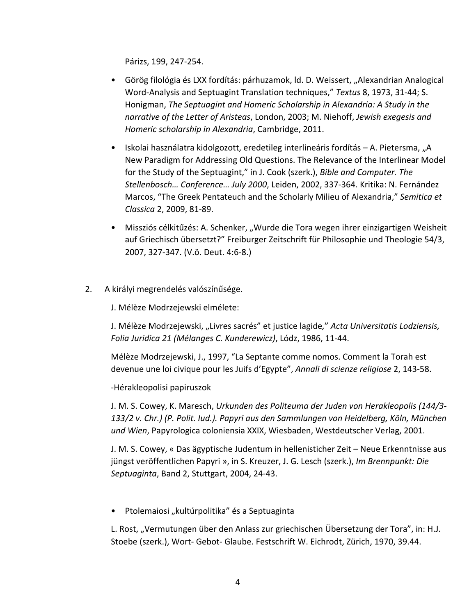Párizs, 199, 247-254.

- Görög filológia és LXX fordítás: párhuzamok, ld. D. Weissert, "Alexandrian Analogical Word-Analysis and Septuagint Translation techniques," Textus 8, 1973, 31-44; S. Honigman, *The Septuagint and Homeric Scholarship in Alexandria: A Study in the narrative of the Letter of Aristeas, London, 2003; M. Niehoff, Jewish exegesis and Homeric scholarship in Alexandria*, Cambridge, 2011.
- Iskolai használatra kidolgozott, eredetileg interlineáris fordítás A. Pietersma, "A New Paradigm for Addressing Old Questions. The Relevance of the Interlinear Model for the Study of the Septuagint," in J. Cook (szerk.), *Bible and Computer. The Stellenbosch… Conference… July 2000*, Leiden, 2002, 337-364. Kritika: N. Fernández Marcos, "The Greek Pentateuch and the Scholarly Milieu of Alexandria," Semitica et *Classica* 2, 2009, 81-89.
- Missziós célkitűzés: A. Schenker, "Wurde die Tora wegen ihrer einzigartigen Weisheit auf Griechisch übersetzt?" Freiburger Zeitschrift für Philosophie und Theologie 54/3, 2007, 327-347. (V.ö. Deut. 4:6-8.)
- 2. A királyi megrendelés valószínűsége.

J. Mélèze Modrzejewski elmélete:

J. Mélèze Modrzejewski, "Livres sacrés" et justice lagide," *Acta Universitatis Lodziensis, Folia Juridica 21 (Mélanges C. Kunderewicz)*, Lódz, 1986, 11-44.

Mélèze Modrzejewski, J., 1997, "La Septante comme nomos. Comment la Torah est devenue une loi civique pour les Juifs d'Egypte", *Annali di scienze religiose* 2, 143-58.

-Hérakleopolisi papiruszok

J. M. S. Cowey, K. Maresch, Urkunden des Politeuma der Juden von Herakleopolis (144/3-133/2 v. Chr.) (P. Polit. Iud.). Papyri aus den Sammlungen von Heidelberg, Köln, München und Wien, Papyrologica coloniensia XXIX, Wiesbaden, Westdeutscher Verlag, 2001.

J. M. S. Cowey, « Das ägyptische Judentum in hellenisticher Zeit – Neue Erkenntnisse aus jüngst veröffentlichen Papyri », in S. Kreuzer, J. G. Lesch (szerk.), Im Brennpunkt: Die Septuaginta, Band 2, Stuttgart, 2004, 24-43.

Ptolemaiosi "kultúrpolitika" és a Septuaginta

L. Rost, "Vermutungen über den Anlass zur griechischen Übersetzung der Tora", in: H.J. Stoebe (szerk.), Wort- Gebot- Glaube. Festschrift W. Eichrodt, Zürich, 1970, 39.44.